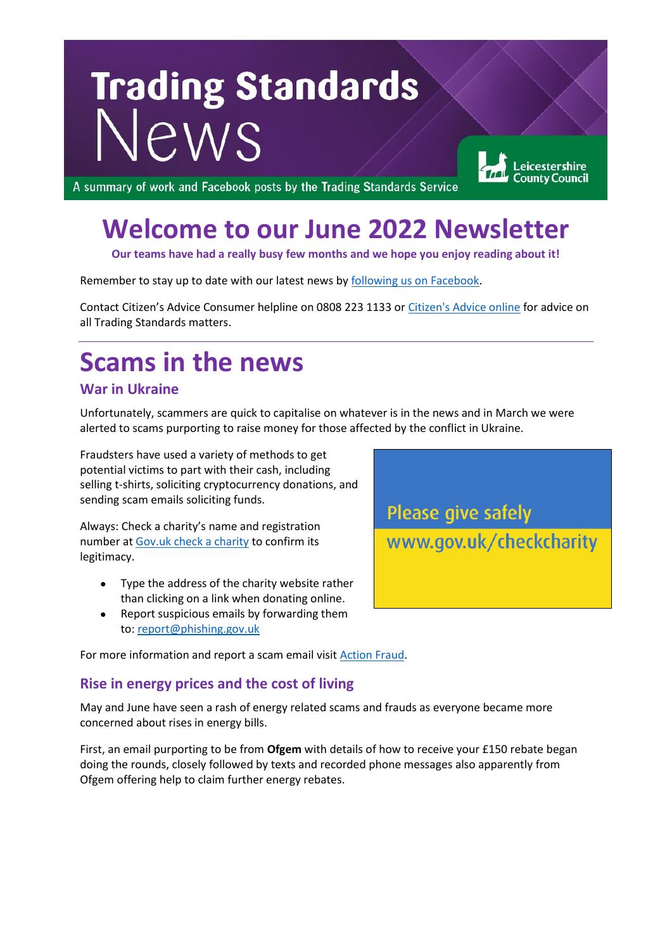# **Trading Standards** Vews

Leicestershire **County Council** 

A summary of work and Facebook posts by the Trading Standards Service

## **Welcome to our June 2022 Newsletter**

**Our teams have had a really busy few months and we hope you enjoy reading about it!**

Remember to stay up to date with our latest news by [following us on Facebook.](https://www.facebook.com/leicstradingstandards)

Contact Citizen's Advice Consumer helpline on 0808 223 1133 or [Citizen's Advice online](https://www.citizensadvice.org.uk/) for advice on all Trading Standards matters.

### **Scams in the news**

#### **War in Ukraine**

Unfortunately, scammers are quick to capitalise on whatever is in the news and in March we were alerted to scams purporting to raise money for those affected by the conflict in Ukraine.

Fraudsters have used a variety of methods to get potential victims to part with their cash, including selling t-shirts, soliciting cryptocurrency donations, and sending scam emails soliciting funds.

Always: Check a charity's name and registration number at [Gov.uk check a charity](https://www.gov.uk/checkcharity) to confirm its legitimacy.

- Type the address of the charity website rather than clicking on a link when donating online.
- Report suspicious emails by forwarding them to: [report@phishing.gov.uk](mailto:report@phishing.gov.uk)



For more information and report a scam email visit [Action Fraud.](https://www.actionfraud.police.uk/)

#### **Rise in energy prices and the cost of living**

May and June have seen a rash of energy related scams and frauds as everyone became more concerned about rises in energy bills.

First, an email purporting to be from **Ofgem** with details of how to receive your £150 rebate began doing the rounds, closely followed by texts and recorded phone messages also apparently from Ofgem offering help to claim further energy rebates.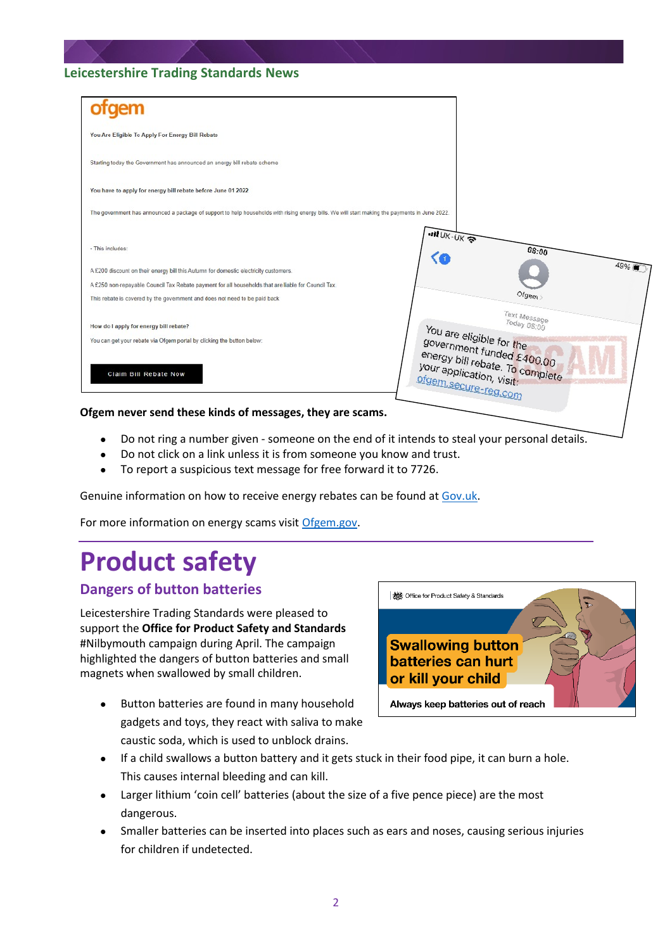| tgem                                                                                                                                           |                                                                                      |
|------------------------------------------------------------------------------------------------------------------------------------------------|--------------------------------------------------------------------------------------|
| You Are Eligible To Apply For Energy Bill Rebate                                                                                               |                                                                                      |
| Starting today the Government has announced an energy bill rebate scheme                                                                       |                                                                                      |
| You have to apply for energy bill rebate before June 01 2022                                                                                   |                                                                                      |
| The government has announced a package of support to help households with rising energy bills. We will start making the payments in June 2022. |                                                                                      |
| · This includes:                                                                                                                               | $IIIUK-UK$<br>08:00                                                                  |
| A £200 discount on their energy bill this Autumn for domestic electricity customers.                                                           | 49%                                                                                  |
| A £250 non-repayable Council Tax Rebate payment for all households that are liable for Council Tax.                                            |                                                                                      |
| This rebate is covered by the government and does not need to be paid back                                                                     | Ofgem                                                                                |
| How do I apply for energy bill rebate?<br>You can get your rebate via Ofgem portal by clicking the button below:                               | Text Message<br>Today 08:00<br>You are eligible for the<br>government funded £400.00 |
| Claim Bill Rebate Now                                                                                                                          | energy bill rebate. To complete<br>your application, visit:<br>ofgem.secure-reg.com  |
| Ofgem never send these kinds of messages, they are scams.                                                                                      |                                                                                      |

- Do not ring a number given someone on the end of it intends to steal your personal details.
- Do not click on a link unless it is from someone you know and trust.
- To report a suspicious text message for free forward it to 7726.

Genuine information on how to receive energy rebates can be found a[t Gov.uk.](https://www.gov.uk/government/news/energy-bills-support-scheme-explainer)

For more information on energy scams visi[t Ofgem.gov.](https://www.ofgem.gov.uk/information-consumers/energy-advice-households/avoid-and-report-energy-scams)

# **Product safety**

#### **Dangers of button batteries**

Leicestershire Trading Standards were pleased to support the **Office for Product Safety and Standards** #Nilbymouth campaign during April. The campaign highlighted the dangers of button batteries and small magnets when swallowed by small children.

Button batteries are found in many household gadgets and toys, they react with saliva to make caustic soda, which is used to unblock drains.



- If a child swallows a button battery and it gets stuck in their food pipe, it can burn a hole. This causes internal bleeding and can kill.
- Larger lithium 'coin cell' batteries (about the size of a five pence piece) are the most dangerous.
- Smaller batteries can be inserted into places such as ears and noses, causing serious injuries for children if undetected.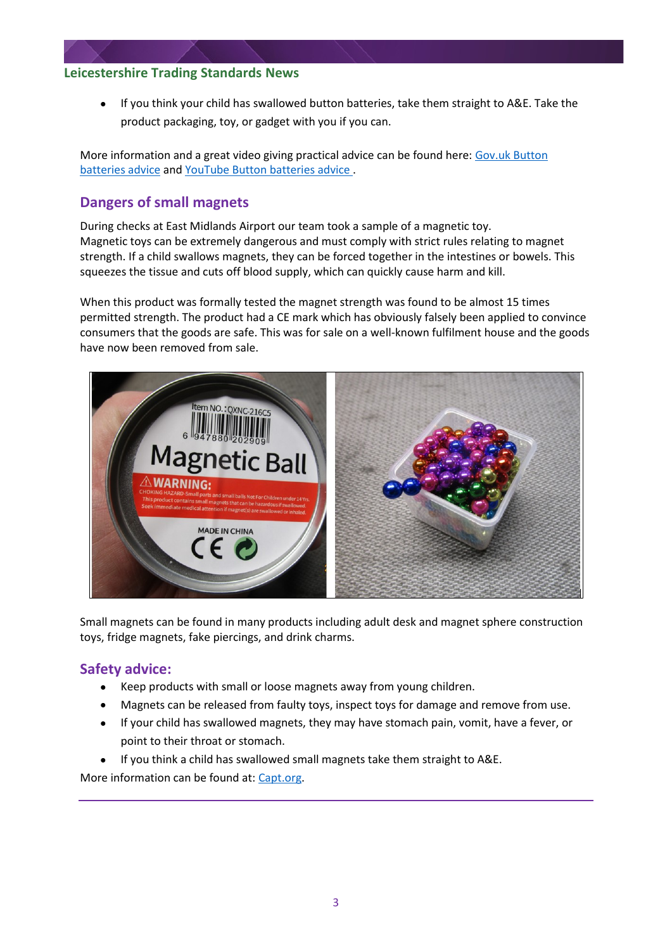• If you think your child has swallowed button batteries, take them straight to A&E. Take the product packaging, toy, or gadget with you if you can.

More information and a great video giving practical advice can be found here: [Gov.uk Button](https://www.gov.uk/government/news/hidden-danger-in-your-home-button-batteries-and-powerful-magnets)  [batteries advice](https://www.gov.uk/government/news/hidden-danger-in-your-home-button-batteries-and-powerful-magnets) and [YouTube Button batteries advice .](https://youtu.be/Y2kyGZk9-ws)

#### **Dangers of small magnets**

During checks at East Midlands Airport our team took a sample of a magnetic toy. Magnetic toys can be extremely dangerous and must comply with strict rules relating to magnet strength. If a child swallows magnets, they can be forced together in the intestines or bowels. This squeezes the tissue and cuts off blood supply, which can quickly cause harm and kill.

When this product was formally tested the magnet strength was found to be almost 15 times permitted strength. The product had a CE mark which has obviously falsely been applied to convince consumers that the goods are safe. This was for sale on a well-known fulfilment house and the goods have now been removed from sale.



Small magnets can be found in many products including adult desk and magnet sphere construction toys, fridge magnets, fake piercings, and drink charms.

#### **Safety advice:**

- Keep products with small or loose magnets away from young children.
- Magnets can be released from faulty toys, inspect toys for damage and remove from use.
- If your child has swallowed magnets, they may have stomach pain, vomit, have a fever, or point to their throat or stomach.
- If you think a child has swallowed small magnets take them straight to A&E.

More information can be found at: [Capt.org.](https://www.capt.org.uk/)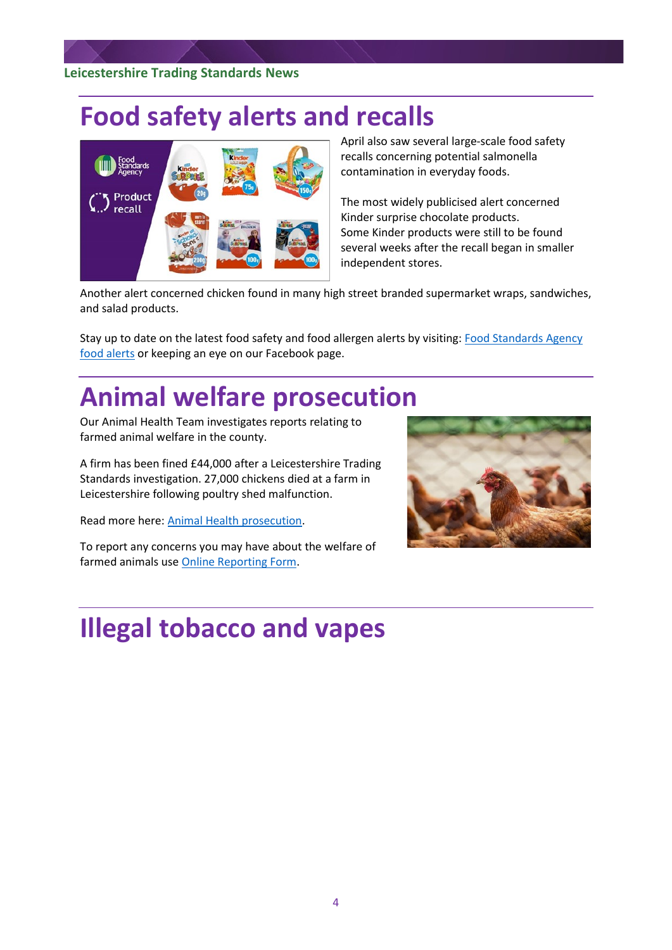### **Food safety alerts and recalls**



April also saw several large-scale food safety recalls concerning potential salmonella contamination in everyday foods.

The most widely publicised alert concerned Kinder surprise chocolate products. Some Kinder products were still to be found several weeks after the recall began in smaller independent stores.

Another alert concerned chicken found in many high street branded supermarket wraps, sandwiches, and salad products.

Stay up to date on the latest food safety and food allergen alerts by visiting[: Food Standards Agency](https://www.food.gov.uk/news-alerts)  [food alerts](https://www.food.gov.uk/news-alerts) or keeping an eye on our Facebook page.

### **Animal welfare prosecution**

Our Animal Health Team investigates reports relating to farmed animal welfare in the county.

A firm has been fined £44,000 after a Leicestershire Trading Standards investigation. 27,000 chickens died at a farm in Leicestershire following poultry shed malfunction.

Read more here: [Animal Health prosecution.](https://www.leicestershire.gov.uk/news/firm-fined-%C2%A344000-after-poultry-shed-malfunction-kills-27000-chickens)

To report any concerns you may have about the welfare of farmed animals use [Online Reporting Form.](https://www.leicestershire.gov.uk/business-and-consumers/trading-standards/report-a-trading-standards-issue/online-reporting-form)



### **Illegal tobacco and vapes**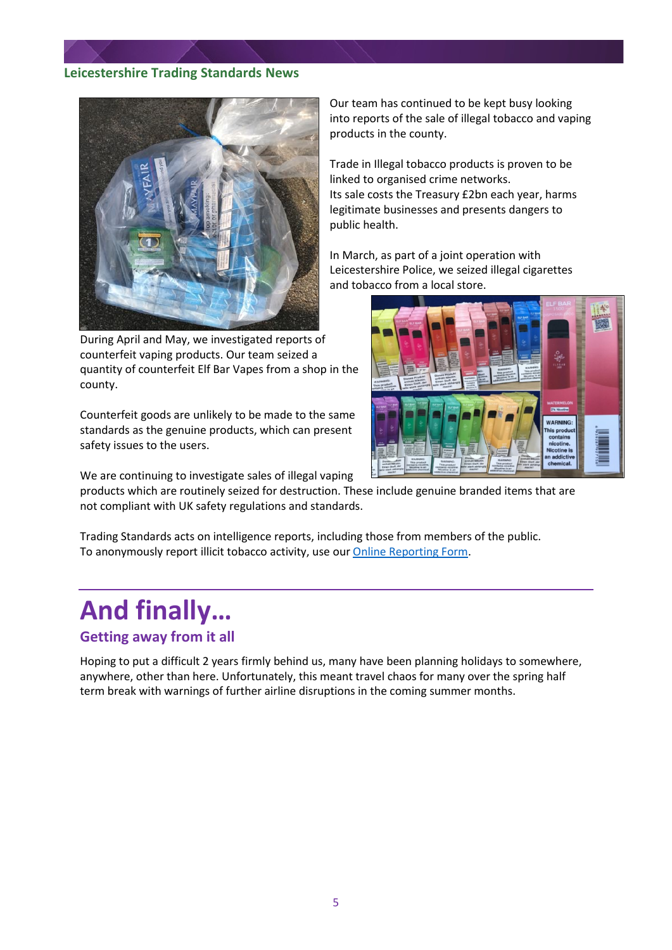

During April and May, we investigated reports of counterfeit vaping products. Our team seized a quantity of counterfeit Elf Bar Vapes from a shop in the county.

Counterfeit goods are unlikely to be made to the same standards as the genuine products, which can present safety issues to the users.

We are continuing to investigate sales of illegal vaping

products which are routinely seized for destruction. These include genuine branded items that are not compliant with UK safety regulations and standards.

Trading Standards acts on intelligence reports, including those from members of the public. To anonymously report illicit tobacco activity, use ou[r Online Reporting Form.](https://www.leicestershire.gov.uk/business-and-consumers/trading-standards/report-a-trading-standards-issue/online-reporting-form)

# **And finally…**

#### **Getting away from it all**

Hoping to put a difficult 2 years firmly behind us, many have been planning holidays to somewhere, anywhere, other than here. Unfortunately, this meant travel chaos for many over the spring half term break with warnings of further airline disruptions in the coming summer months.

Our team has continued to be kept busy looking into reports of the sale of illegal tobacco and vaping products in the county.

Trade in Illegal tobacco products is proven to be linked to organised crime networks. Its sale costs the Treasury £2bn each year, harms legitimate businesses and presents dangers to public health.

In March, as part of a joint operation with Leicestershire Police, we seized illegal cigarettes and tobacco from a local store.